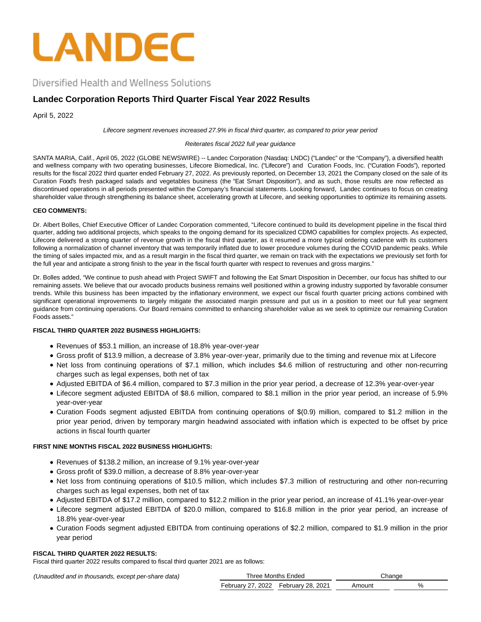

Diversified Health and Wellness Solutions

# **Landec Corporation Reports Third Quarter Fiscal Year 2022 Results**

April 5, 2022

Lifecore segment revenues increased 27.9% in fiscal third quarter, as compared to prior year period

Reiterates fiscal 2022 full year guidance

SANTA MARIA, Calif., April 05, 2022 (GLOBE NEWSWIRE) -- Landec Corporation (Nasdaq: LNDC) ("Landec" or the "Company"), a diversified health and wellness company with two operating businesses, Lifecore Biomedical, Inc. ("Lifecore") and Curation Foods, Inc. ("Curation Foods"), reported results for the fiscal 2022 third quarter ended February 27, 2022. As previously reported, on December 13, 2021 the Company closed on the sale of its Curation Food's fresh packaged salads and vegetables business (the "Eat Smart Disposition"), and as such, those results are now reflected as discontinued operations in all periods presented within the Company's financial statements. Looking forward, Landec continues to focus on creating shareholder value through strengthening its balance sheet, accelerating growth at Lifecore, and seeking opportunities to optimize its remaining assets.

## **CEO COMMENTS:**

Dr. Albert Bolles, Chief Executive Officer of Landec Corporation commented, "Lifecore continued to build its development pipeline in the fiscal third quarter, adding two additional projects, which speaks to the ongoing demand for its specialized CDMO capabilities for complex projects. As expected, Lifecore delivered a strong quarter of revenue growth in the fiscal third quarter, as it resumed a more typical ordering cadence with its customers following a normalization of channel inventory that was temporarily inflated due to lower procedure volumes during the COVID pandemic peaks. While the timing of sales impacted mix, and as a result margin in the fiscal third quarter, we remain on track with the expectations we previously set forth for the full year and anticipate a strong finish to the year in the fiscal fourth quarter with respect to revenues and gross margins."

Dr. Bolles added, "We continue to push ahead with Project SWIFT and following the Eat Smart Disposition in December, our focus has shifted to our remaining assets. We believe that our avocado products business remains well positioned within a growing industry supported by favorable consumer trends. While this business has been impacted by the inflationary environment, we expect our fiscal fourth quarter pricing actions combined with significant operational improvements to largely mitigate the associated margin pressure and put us in a position to meet our full year segment guidance from continuing operations. Our Board remains committed to enhancing shareholder value as we seek to optimize our remaining Curation Foods assets."

## **FISCAL THIRD QUARTER 2022 BUSINESS HIGHLIGHTS:**

- Revenues of \$53.1 million, an increase of 18.8% year-over-year
- Gross profit of \$13.9 million, a decrease of 3.8% year-over-year, primarily due to the timing and revenue mix at Lifecore
- Net loss from continuing operations of \$7.1 million, which includes \$4.6 million of restructuring and other non-recurring charges such as legal expenses, both net of tax
- Adjusted EBITDA of \$6.4 million, compared to \$7.3 million in the prior year period, a decrease of 12.3% year-over-year
- Lifecore segment adjusted EBITDA of \$8.6 million, compared to \$8.1 million in the prior year period, an increase of 5.9% year-over-year
- Curation Foods segment adjusted EBITDA from continuing operations of \$(0.9) million, compared to \$1.2 million in the prior year period, driven by temporary margin headwind associated with inflation which is expected to be offset by price actions in fiscal fourth quarter

## **FIRST NINE MONTHS FISCAL 2022 BUSINESS HIGHLIGHTS:**

- Revenues of \$138.2 million, an increase of 9.1% year-over-year
- Gross profit of \$39.0 million, a decrease of 8.8% year-over-year
- Net loss from continuing operations of \$10.5 million, which includes \$7.3 million of restructuring and other non-recurring charges such as legal expenses, both net of tax
- Adjusted EBITDA of \$17.2 million, compared to \$12.2 million in the prior year period, an increase of 41.1% year-over-year
- Lifecore segment adjusted EBITDA of \$20.0 million, compared to \$16.8 million in the prior year period, an increase of 18.8% year-over-year
- Curation Foods segment adjusted EBITDA from continuing operations of \$2.2 million, compared to \$1.9 million in the prior year period

## **FISCAL THIRD QUARTER 2022 RESULTS:**

Fiscal third quarter 2022 results compared to fiscal third quarter 2021 are as follows:

(Unaudited and in thousands, except per-share data)

|                                        | Three Months Ended |        | Change |
|----------------------------------------|--------------------|--------|--------|
| February 27, 2022    February 28, 2021 |                    | Amount | %      |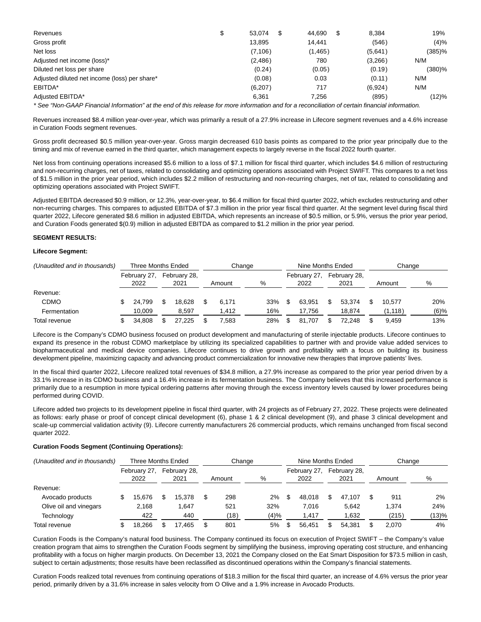| Revenues                                      | \$<br>53.074 | 44.690   | 8.384   | 19%       |
|-----------------------------------------------|--------------|----------|---------|-----------|
| Gross profit                                  | 13.895       | 14.441   | (546)   | (4)%      |
| Net loss                                      | (7, 106)     | (1, 465) | (5,641) | $(385)\%$ |
| Adjusted net income (loss)*                   | (2,486)      | 780      | (3,266) | N/M       |
| Diluted net loss per share                    | (0.24)       | (0.05)   | (0.19)  | (380)%    |
| Adjusted diluted net income (loss) per share* | (0.08)       | 0.03     | (0.11)  | N/M       |
| EBITDA*                                       | (6,207)      | 717      | (6,924) | N/M       |
| Adjusted EBITDA*                              | 6,361        | 7,256    | (895)   | (12)%     |
|                                               |              |          |         |           |

\* See "Non-GAAP Financial Information" at the end of this release for more information and for a reconciliation of certain financial information.

Revenues increased \$8.4 million year-over-year, which was primarily a result of a 27.9% increase in Lifecore segment revenues and a 4.6% increase in Curation Foods segment revenues.

Gross profit decreased \$0.5 million year-over-year. Gross margin decreased 610 basis points as compared to the prior year principally due to the timing and mix of revenue earned in the third quarter, which management expects to largely reverse in the fiscal 2022 fourth quarter.

Net loss from continuing operations increased \$5.6 million to a loss of \$7.1 million for fiscal third quarter, which includes \$4.6 million of restructuring and non-recurring charges, net of taxes, related to consolidating and optimizing operations associated with Project SWIFT. This compares to a net loss of \$1.5 million in the prior year period, which includes \$2.2 million of restructuring and non-recurring charges, net of tax, related to consolidating and optimizing operations associated with Project SWIFT.

Adjusted EBITDA decreased \$0.9 million, or 12.3%, year-over-year, to \$6.4 million for fiscal third quarter 2022, which excludes restructuring and other non-recurring charges. This compares to adjusted EBITDA of \$7.3 million in the prior year fiscal third quarter. At the segment level during fiscal third quarter 2022, Lifecore generated \$8.6 million in adjusted EBITDA, which represents an increase of \$0.5 million, or 5.9%, versus the prior year period, and Curation Foods generated \$(0.9) million in adjusted EBITDA as compared to \$1.2 million in the prior year period.

## **SEGMENT RESULTS:**

### **Lifecore Segment:**

| (Unaudited and in thousands) |  | Three Months Ended   |  |                      |  | Change |  |     | Nine Months Ended    |        |                      |        |  | Change  |   |         |
|------------------------------|--|----------------------|--|----------------------|--|--------|--|-----|----------------------|--------|----------------------|--------|--|---------|---|---------|
|                              |  | February 27,<br>2022 |  | February 28,<br>2021 |  | Amount |  | %   | February 27,<br>2022 |        | February 28,<br>2021 |        |  | Amount  | % |         |
| Revenue:                     |  |                      |  |                      |  |        |  |     |                      |        |                      |        |  |         |   |         |
| <b>CDMO</b>                  |  | 24.799               |  | 18.628               |  | 6.171  |  | 33% |                      | 63.951 |                      | 53.374 |  | 10.577  |   | 20%     |
| Fermentation                 |  | 10.009               |  | 8.597                |  | 1.412  |  | 16% |                      | 17.756 |                      | 18.874 |  | (1,118) |   | $(6)\%$ |
| Total revenue                |  | 34.808               |  | 27.225               |  | 7.583  |  | 28% |                      | 81.707 |                      | 72.248 |  | 9.459   |   | 13%     |

Lifecore is the Company's CDMO business focused on product development and manufacturing of sterile injectable products. Lifecore continues to expand its presence in the robust CDMO marketplace by utilizing its specialized capabilities to partner with and provide value added services to biopharmaceutical and medical device companies. Lifecore continues to drive growth and profitability with a focus on building its business development pipeline, maximizing capacity and advancing product commercialization for innovative new therapies that improve patients' lives.

In the fiscal third quarter 2022, Lifecore realized total revenues of \$34.8 million, a 27.9% increase as compared to the prior year period driven by a 33.1% increase in its CDMO business and a 16.4% increase in its fermentation business. The Company believes that this increased performance is primarily due to a resumption in more typical ordering patterns after moving through the excess inventory levels caused by lower procedures being performed during COVID.

Lifecore added two projects to its development pipeline in fiscal third quarter, with 24 projects as of February 27, 2022. These projects were delineated as follows: early phase or proof of concept clinical development (6), phase 1 & 2 clinical development (9), and phase 3 clinical development and scale-up commercial validation activity (9). Lifecore currently manufacturers 26 commercial products, which remains unchanged from fiscal second quarter 2022.

#### **Curation Foods Segment (Continuing Operations):**

| (Unaudited and in thousands) | Three Months Ended |                      |  |                      | Change |        |      | Nine Months Ended |                      |  |                      | Change |        |       |
|------------------------------|--------------------|----------------------|--|----------------------|--------|--------|------|-------------------|----------------------|--|----------------------|--------|--------|-------|
|                              |                    | February 27,<br>2022 |  | February 28,<br>2021 |        | Amount | %    |                   | February 27,<br>2022 |  | February 28,<br>2021 |        | Amount | %     |
| Revenue:                     |                    |                      |  |                      |        |        |      |                   |                      |  |                      |        |        |       |
| Avocado products             |                    | 5.676                |  | 15.378               |        | 298    | 2%   |                   | 48.018               |  | 47.107               |        | 911    | 2%    |
| Olive oil and vinegars       |                    | 2.168                |  | .647                 |        | 521    | 32%  |                   | 7.016                |  | 5.642                |        | 1.374  | 24%   |
| Technology                   |                    | 422                  |  | 440                  |        | (18)   | (4)% |                   | 1.417                |  | 1.632                |        | (215)  | (13)% |
| Total revenue                |                    | 18.266               |  | 17,465               |        | 801    | 5%   |                   | 56.451               |  | 54.381               |        | 2.070  | 4%    |

Curation Foods is the Company's natural food business. The Company continued its focus on execution of Project SWIFT – the Company's value creation program that aims to strengthen the Curation Foods segment by simplifying the business, improving operating cost structure, and enhancing profitability with a focus on higher margin products. On December 13, 2021 the Company closed on the Eat Smart Disposition for \$73.5 million in cash, subject to certain adjustments; those results have been reclassified as discontinued operations within the Company's financial statements.

Curation Foods realized total revenues from continuing operations of \$18.3 million for the fiscal third quarter, an increase of 4.6% versus the prior year period, primarily driven by a 31.6% increase in sales velocity from O Olive and a 1.9% increase in Avocado Products.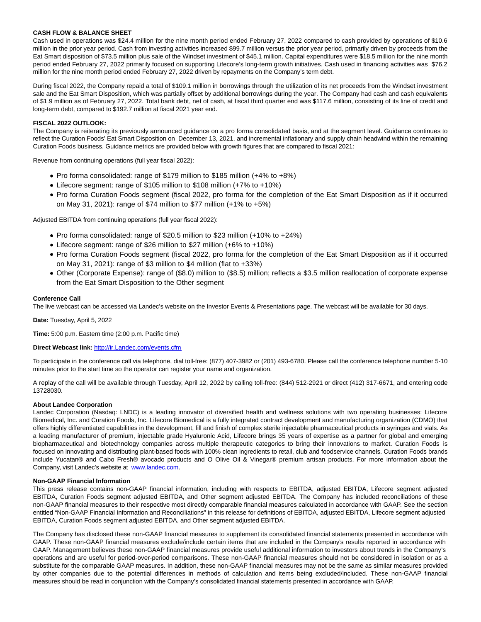### **CASH FLOW & BALANCE SHEET**

Cash used in operations was \$24.4 million for the nine month period ended February 27, 2022 compared to cash provided by operations of \$10.6 million in the prior year period. Cash from investing activities increased \$99.7 million versus the prior year period, primarily driven by proceeds from the Eat Smart disposition of \$73.5 million plus sale of the Windset investment of \$45.1 million. Capital expenditures were \$18.5 million for the nine month period ended February 27, 2022 primarily focused on supporting Lifecore's long-term growth initiatives. Cash used in financing activities was \$76.2 million for the nine month period ended February 27, 2022 driven by repayments on the Company's term debt.

During fiscal 2022, the Company repaid a total of \$109.1 million in borrowings through the utilization of its net proceeds from the Windset investment sale and the Eat Smart Disposition, which was partially offset by additional borrowings during the year. The Company had cash and cash equivalents of \$1.9 million as of February 27, 2022. Total bank debt, net of cash, at fiscal third quarter end was \$117.6 million, consisting of its line of credit and long-term debt, compared to \$192.7 million at fiscal 2021 year end.

## **FISCAL 2022 OUTLOOK:**

The Company is reiterating its previously announced guidance on a pro forma consolidated basis, and at the segment level. Guidance continues to reflect the Curation Foods' Eat Smart Disposition on December 13, 2021, and incremental inflationary and supply chain headwind within the remaining Curation Foods business. Guidance metrics are provided below with growth figures that are compared to fiscal 2021:

Revenue from continuing operations (full year fiscal 2022):

- Pro forma consolidated: range of \$179 million to \$185 million (+4% to +8%)
- Lifecore segment: range of \$105 million to \$108 million (+7% to +10%)
- Pro forma Curation Foods segment (fiscal 2022, pro forma for the completion of the Eat Smart Disposition as if it occurred on May 31, 2021): range of \$74 million to \$77 million (+1% to +5%)

Adjusted EBITDA from continuing operations (full year fiscal 2022):

- Pro forma consolidated: range of \$20.5 million to \$23 million (+10% to +24%)
- Lifecore segment: range of \$26 million to \$27 million (+6% to +10%)
- Pro forma Curation Foods segment (fiscal 2022, pro forma for the completion of the Eat Smart Disposition as if it occurred on May 31, 2021): range of \$3 million to \$4 million (flat to +33%)
- Other (Corporate Expense): range of (\$8.0) million to (\$8.5) million; reflects a \$3.5 million reallocation of corporate expense from the Eat Smart Disposition to the Other segment

#### **Conference Call**

The live webcast can be accessed via Landec's website on the Investor Events & Presentations page. The webcast will be available for 30 days.

**Date:** Tuesday, April 5, 2022

**Time:** 5:00 p.m. Eastern time (2:00 p.m. Pacific time)

### **Direct Webcast link:** [http://ir.Landec.com/events.cfm](https://www.globenewswire.com/Tracker?data=VfE_xUf5eIO3yzAMzQRmRWpYkFV8_O_pFEtn-xvVWAJIjelBMu-wF8LXcsboaefajZfuOLvtwKLTMG6cyyAVBsf4-RWtyMJSz9G-Csoz6eVrRWTZTYzcYamwhS07Zc5p)

To participate in the conference call via telephone, dial toll-free: (877) 407-3982 or (201) 493-6780. Please call the conference telephone number 5-10 minutes prior to the start time so the operator can register your name and organization.

A replay of the call will be available through Tuesday, April 12, 2022 by calling toll-free: (844) 512-2921 or direct (412) 317-6671, and entering code 13728030.

#### **About Landec Corporation**

Landec Corporation (Nasdaq: LNDC) is a leading innovator of diversified health and wellness solutions with two operating businesses: Lifecore Biomedical, Inc. and Curation Foods, Inc. Lifecore Biomedical is a fully integrated contract development and manufacturing organization (CDMO) that offers highly differentiated capabilities in the development, fill and finish of complex sterile injectable pharmaceutical products in syringes and vials. As a leading manufacturer of premium, injectable grade Hyaluronic Acid, Lifecore brings 35 years of expertise as a partner for global and emerging biopharmaceutical and biotechnology companies across multiple therapeutic categories to bring their innovations to market. Curation Foods is focused on innovating and distributing plant-based foods with 100% clean ingredients to retail, club and foodservice channels. Curation Foods brands include Yucatan® and Cabo Fresh® avocado products and O Olive Oil & Vinegar® premium artisan products. For more information about the Company, visit Landec's website at [www.landec.com.](https://www.globenewswire.com/Tracker?data=cgdGd-HgdRWvLEY4evhY0u47Vb5MaikBB-tvadGMMQ94Gz9SJf7VMDDLpoNdA6FyggXbttmU7SgYPLLKBgdMaw==) 

### **Non-GAAP Financial Information**

This press release contains non-GAAP financial information, including with respects to EBITDA, adjusted EBITDA, Lifecore segment adjusted EBITDA, Curation Foods segment adjusted EBITDA, and Other segment adjusted EBITDA. The Company has included reconciliations of these non-GAAP financial measures to their respective most directly comparable financial measures calculated in accordance with GAAP. See the section entitled "Non-GAAP Financial Information and Reconciliations" in this release for definitions of EBITDA, adjusted EBITDA, Lifecore segment adjusted EBITDA, Curation Foods segment adjusted EBITDA, and Other segment adjusted EBITDA.

The Company has disclosed these non-GAAP financial measures to supplement its consolidated financial statements presented in accordance with GAAP. These non-GAAP financial measures exclude/include certain items that are included in the Company's results reported in accordance with GAAP. Management believes these non-GAAP financial measures provide useful additional information to investors about trends in the Company's operations and are useful for period-over-period comparisons. These non-GAAP financial measures should not be considered in isolation or as a substitute for the comparable GAAP measures. In addition, these non-GAAP financial measures may not be the same as similar measures provided by other companies due to the potential differences in methods of calculation and items being excluded/included. These non-GAAP financial measures should be read in conjunction with the Company's consolidated financial statements presented in accordance with GAAP.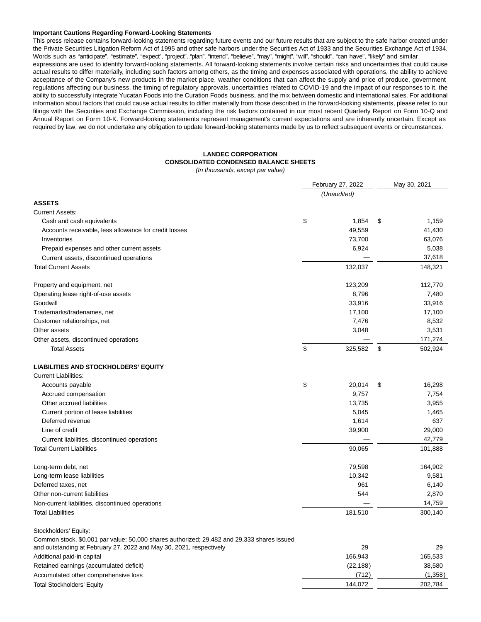#### **Important Cautions Regarding Forward-Looking Statements**

This press release contains forward-looking statements regarding future events and our future results that are subject to the safe harbor created under the Private Securities Litigation Reform Act of 1995 and other safe harbors under the Securities Act of 1933 and the Securities Exchange Act of 1934. Words such as "anticipate", "estimate", "expect", "project", "plan", "intend", "believe", "may", "might", "will", "should", "can have", "likely" and similar expressions are used to identify forward-looking statements. All forward-looking statements involve certain risks and uncertainties that could cause actual results to differ materially, including such factors among others, as the timing and expenses associated with operations, the ability to achieve acceptance of the Company's new products in the market place, weather conditions that can affect the supply and price of produce, government regulations affecting our business, the timing of regulatory approvals, uncertainties related to COVID-19 and the impact of our responses to it, the ability to successfully integrate Yucatan Foods into the Curation Foods business, and the mix between domestic and international sales. For additional information about factors that could cause actual results to differ materially from those described in the forward-looking statements, please refer to our filings with the Securities and Exchange Commission, including the risk factors contained in our most recent Quarterly Report on Form 10-Q and Annual Report on Form 10-K. Forward-looking statements represent management's current expectations and are inherently uncertain. Except as required by law, we do not undertake any obligation to update forward-looking statements made by us to reflect subsequent events or circumstances.

## **LANDEC CORPORATION CONSOLIDATED CONDENSED BALANCE SHEETS**

(In thousands, except par value)

|                                                                                            | February 27, 2022 | May 30, 2021 |         |  |
|--------------------------------------------------------------------------------------------|-------------------|--------------|---------|--|
|                                                                                            | (Unaudited)       |              |         |  |
| <b>ASSETS</b>                                                                              |                   |              |         |  |
| <b>Current Assets:</b>                                                                     |                   |              |         |  |
| Cash and cash equivalents                                                                  | \$<br>1,854       | \$           | 1,159   |  |
| Accounts receivable, less allowance for credit losses                                      | 49,559            |              | 41,430  |  |
| Inventories                                                                                | 73,700            |              | 63,076  |  |
| Prepaid expenses and other current assets                                                  | 6,924             |              | 5,038   |  |
| Current assets, discontinued operations                                                    |                   |              | 37,618  |  |
| <b>Total Current Assets</b>                                                                | 132,037           |              | 148,321 |  |
| Property and equipment, net                                                                | 123,209           |              | 112,770 |  |
| Operating lease right-of-use assets                                                        | 8,796             |              | 7,480   |  |
| Goodwill                                                                                   | 33,916            |              | 33,916  |  |
| Trademarks/tradenames, net                                                                 | 17,100            |              | 17,100  |  |
| Customer relationships, net                                                                | 7,476             |              | 8,532   |  |
| Other assets                                                                               | 3,048             |              | 3,531   |  |
| Other assets, discontinued operations                                                      |                   |              | 171,274 |  |
| <b>Total Assets</b>                                                                        | \$<br>325,582     | \$           | 502,924 |  |
| <b>LIABILITIES AND STOCKHOLDERS' EQUITY</b>                                                |                   |              |         |  |
| <b>Current Liabilities:</b>                                                                |                   |              |         |  |
| Accounts payable                                                                           | \$<br>20,014      | \$           | 16,298  |  |
| Accrued compensation                                                                       | 9,757             |              | 7,754   |  |
| Other accrued liabilities                                                                  | 13,735            |              | 3,955   |  |
| Current portion of lease liabilities                                                       | 5,045             |              | 1,465   |  |
| Deferred revenue                                                                           | 1,614             |              | 637     |  |
| Line of credit                                                                             | 39,900            |              | 29,000  |  |
| Current liabilities, discontinued operations                                               |                   |              | 42,779  |  |
| <b>Total Current Liabilities</b>                                                           | 90,065            |              | 101,888 |  |
| Long-term debt, net                                                                        | 79,598            |              | 164,902 |  |
| Long-term lease liabilities                                                                | 10,342            |              | 9,581   |  |
| Deferred taxes, net                                                                        | 961               |              | 6,140   |  |
| Other non-current liabilities                                                              | 544               |              | 2,870   |  |
| Non-current liabilities, discontinued operations                                           |                   |              | 14,759  |  |
| <b>Total Liabilities</b>                                                                   | 181,510           |              | 300,140 |  |
| Stockholders' Equity:                                                                      |                   |              |         |  |
| Common stock, \$0.001 par value; 50,000 shares authorized; 29,482 and 29,333 shares issued |                   |              |         |  |
| and outstanding at February 27, 2022 and May 30, 2021, respectively                        | 29                |              | 29      |  |
| Additional paid-in capital                                                                 | 166,943           |              | 165,533 |  |
| Retained earnings (accumulated deficit)                                                    | (22, 188)         |              | 38,580  |  |
| Accumulated other comprehensive loss                                                       | (712)             |              | (1,358) |  |
| <b>Total Stockholders' Equity</b>                                                          | 144,072           |              | 202,784 |  |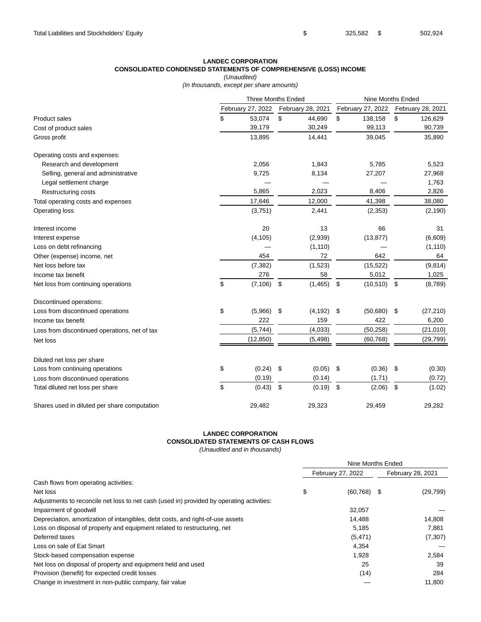## **LANDEC CORPORATION CONSOLIDATED CONDENSED STATEMENTS OF COMPREHENSIVE (LOSS) INCOME**

(Unaudited)

(In thousands, except per share amounts)

|                                               |                   | Three Months Ended         |                   | Nine Months Ended |                   |  |
|-----------------------------------------------|-------------------|----------------------------|-------------------|-------------------|-------------------|--|
|                                               | February 27, 2022 | February 28, 2021          | February 27, 2022 |                   | February 28, 2021 |  |
| <b>Product sales</b>                          | \$<br>53,074      | \$<br>44,690               | \$<br>138,158     | \$                | 126,629           |  |
| Cost of product sales                         | 39,179            | 30,249                     | 99,113            |                   | 90,739            |  |
| Gross profit                                  | 13,895            | 14,441                     | 39,045            |                   | 35,890            |  |
| Operating costs and expenses:                 |                   |                            |                   |                   |                   |  |
| Research and development                      | 2,056             | 1,843                      | 5,785             |                   | 5,523             |  |
| Selling, general and administrative           | 9,725             | 8,134                      | 27,207            |                   | 27,968            |  |
| Legal settlement charge                       |                   |                            |                   |                   | 1,763             |  |
| <b>Restructuring costs</b>                    | 5,865             | 2,023                      | 8,406             |                   | 2,826             |  |
| Total operating costs and expenses            | 17,646            | 12,000                     | 41,398            |                   | 38,080            |  |
| Operating loss                                | (3,751)           | 2,441                      | (2, 353)          |                   | (2, 190)          |  |
| Interest income                               | 20                | 13                         | 66                |                   | 31                |  |
| Interest expense                              | (4, 105)          | (2,939)                    | (13, 877)         |                   | (6,609)           |  |
| Loss on debt refinancing                      |                   | (1, 110)                   |                   |                   | (1, 110)          |  |
| Other (expense) income, net                   | 454               | 72                         | 642               |                   | 64                |  |
| Net loss before tax                           | (7, 382)          | (1,523)                    | (15, 522)         |                   | (9, 814)          |  |
| Income tax benefit                            | 276               | 58                         | 5,012             |                   | 1,025             |  |
| Net loss from continuing operations           | \$<br>(7, 106)    | $\mathfrak{S}$<br>(1, 465) | \$<br>(10, 510)   | \$                | (8,789)           |  |
| Discontinued operations:                      |                   |                            |                   |                   |                   |  |
| Loss from discontinued operations             | \$<br>(5,966)     | \$<br>(4, 192)             | \$<br>(50,680)    | \$                | (27, 210)         |  |
| Income tax benefit                            | 222               | 159                        | 422               |                   | 6,200             |  |
| Loss from discontinued operations, net of tax | (5,744)           | (4,033)                    | (50, 258)         |                   | (21,010)          |  |
| Net loss                                      | (12, 850)         | (5, 498)                   | (60, 768)         |                   | (29, 799)         |  |
| Diluted net loss per share                    |                   |                            |                   |                   |                   |  |
| Loss from continuing operations               | \$<br>(0.24)      | (0.05)<br>\$               | \$<br>(0.36)      | \$                | (0.30)            |  |
| Loss from discontinued operations             | (0.19)            | (0.14)                     | (1.71)            |                   | (0.72)            |  |
| Total diluted net loss per share              | \$<br>(0.43)      | \$<br>(0.19)               | \$<br>(2.06)      | \$                | (1.02)            |  |
| Shares used in diluted per share computation  | 29,482            | 29,323                     | 29,459            |                   | 29,282            |  |

## **LANDEC CORPORATION CONSOLIDATED STATEMENTS OF CASH FLOWS**

(Unaudited and in thousands)

|                                                                                           | Nine Months Ended |                   |  |                   |  |  |  |  |  |  |
|-------------------------------------------------------------------------------------------|-------------------|-------------------|--|-------------------|--|--|--|--|--|--|
|                                                                                           |                   | February 27, 2022 |  | February 28, 2021 |  |  |  |  |  |  |
| Cash flows from operating activities:                                                     |                   |                   |  |                   |  |  |  |  |  |  |
| Net loss                                                                                  | \$                | $(60, 768)$ \$    |  | (29, 799)         |  |  |  |  |  |  |
| Adjustments to reconcile net loss to net cash (used in) provided by operating activities: |                   |                   |  |                   |  |  |  |  |  |  |
| Impairment of goodwill                                                                    |                   | 32.057            |  |                   |  |  |  |  |  |  |
| Depreciation, amortization of intangibles, debt costs, and right-of-use assets            |                   | 14.488            |  | 14.808            |  |  |  |  |  |  |
| Loss on disposal of property and equipment related to restructuring, net                  |                   | 5,185             |  | 7,881             |  |  |  |  |  |  |
| Deferred taxes                                                                            |                   | (5, 471)          |  | (7, 307)          |  |  |  |  |  |  |
| Loss on sale of Eat Smart                                                                 |                   | 4,354             |  |                   |  |  |  |  |  |  |
| Stock-based compensation expense                                                          |                   | 1,928             |  | 2,584             |  |  |  |  |  |  |
| Net loss on disposal of property and equipment held and used                              |                   | 25                |  | 39                |  |  |  |  |  |  |
| Provision (benefit) for expected credit losses                                            |                   | (14)              |  | 284               |  |  |  |  |  |  |
| Change in investment in non-public company, fair value                                    |                   |                   |  | 11.800            |  |  |  |  |  |  |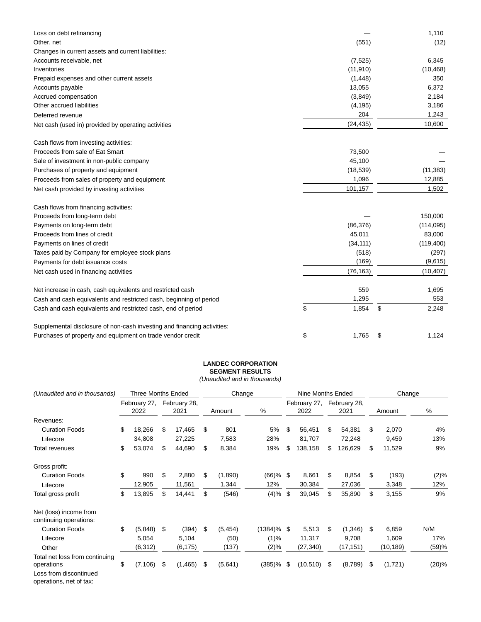| Loss on debt refinancing                                                |             | 1,110       |
|-------------------------------------------------------------------------|-------------|-------------|
| Other, net                                                              | (551)       | (12)        |
| Changes in current assets and current liabilities:                      |             |             |
| Accounts receivable, net                                                | (7, 525)    | 6,345       |
| Inventories                                                             | (11, 910)   | (10, 468)   |
| Prepaid expenses and other current assets                               | (1, 448)    | 350         |
| Accounts payable                                                        | 13,055      | 6,372       |
| Accrued compensation                                                    | (3,849)     | 2,184       |
| Other accrued liabilities                                               | (4, 195)    | 3,186       |
| Deferred revenue                                                        | 204         | 1,243       |
| Net cash (used in) provided by operating activities                     | (24, 435)   | 10,600      |
| Cash flows from investing activities:                                   |             |             |
| Proceeds from sale of Eat Smart                                         | 73,500      |             |
| Sale of investment in non-public company                                | 45,100      |             |
| Purchases of property and equipment                                     | (18, 539)   | (11, 383)   |
| Proceeds from sales of property and equipment                           | 1,096       | 12,885      |
| Net cash provided by investing activities                               | 101,157     | 1,502       |
| Cash flows from financing activities:                                   |             |             |
| Proceeds from long-term debt                                            |             | 150,000     |
| Payments on long-term debt                                              | (86, 376)   | (114, 095)  |
| Proceeds from lines of credit                                           | 45,011      | 83,000      |
| Payments on lines of credit                                             | (34, 111)   | (119, 400)  |
| Taxes paid by Company for employee stock plans                          | (518)       | (297)       |
| Payments for debt issuance costs                                        | (169)       | (9,615)     |
| Net cash used in financing activities                                   | (76, 163)   | (10, 407)   |
| Net increase in cash, cash equivalents and restricted cash              | 559         | 1,695       |
| Cash and cash equivalents and restricted cash, beginning of period      | 1,295       | 553         |
| Cash and cash equivalents and restricted cash, end of period            | \$<br>1,854 | \$<br>2,248 |
| Supplemental disclosure of non-cash investing and financing activities: |             |             |
| Purchases of property and equipment on trade vendor credit              | \$<br>1,765 | \$<br>1,124 |

## **LANDEC CORPORATION SEGMENT RESULTS**

(Unaudited and in thousands)

| (Unaudited and in thousands)                                                                      | <b>Three Months Ended</b> |                      |    |                      |    | Change   |               |                      | Nine Months Ended |                      |        | Change    |         |  |
|---------------------------------------------------------------------------------------------------|---------------------------|----------------------|----|----------------------|----|----------|---------------|----------------------|-------------------|----------------------|--------|-----------|---------|--|
|                                                                                                   |                           | February 27,<br>2022 |    | February 28,<br>2021 |    | Amount   | %             | February 27,<br>2022 |                   | February 28,<br>2021 | Amount |           | $\%$    |  |
| Revenues:                                                                                         |                           |                      |    |                      |    |          |               |                      |                   |                      |        |           |         |  |
| <b>Curation Foods</b>                                                                             | \$                        | 18,266               | \$ | 17,465               | \$ | 801      | 5%            | \$                   | 56,451            | \$<br>54,381         | S      | 2,070     | 4%      |  |
| Lifecore                                                                                          |                           | 34,808               |    | 27,225               |    | 7,583    | 28%           |                      | 81,707            | 72,248               |        | 9,459     | 13%     |  |
| Total revenues                                                                                    | \$                        | 53,074               | \$ | 44,690               | \$ | 8,384    | 19%           | \$                   | 138,158           | \$<br>126,629        | \$.    | 11,529    | 9%      |  |
| Gross profit:                                                                                     |                           |                      |    |                      |    |          |               |                      |                   |                      |        |           |         |  |
| <b>Curation Foods</b>                                                                             | \$                        | 990                  | \$ | 2,880                | \$ | (1,890)  | $(66)$ % \$   |                      | 8,661             | \$<br>8,854          | \$     | (193)     | $(2)\%$ |  |
| Lifecore                                                                                          |                           | 12,905               |    | 11,561               |    | 1,344    | 12%           |                      | 30,384            | 27,036               |        | 3,348     | 12%     |  |
| Total gross profit                                                                                | \$                        | 13,895               | \$ | 14,441               | \$ | (546)    | $(4) \%$ \$   |                      | 39,045            | \$<br>35,890         | \$     | 3,155     | 9%      |  |
| Net (loss) income from<br>continuing operations:                                                  |                           |                      |    |                      |    |          |               |                      |                   |                      |        |           |         |  |
| <b>Curation Foods</b>                                                                             | \$                        | (5,848)              | S. | (394)                | \$ | (5, 454) | $(1384)\%$ \$ |                      | 5,513             | \$<br>(1,346)        | - \$   | 6,859     | N/M     |  |
| Lifecore                                                                                          |                           | 5,054                |    | 5,104                |    | (50)     | (1)%          |                      | 11,317            | 9,708                |        | 1,609     | 17%     |  |
| Other                                                                                             |                           | (6, 312)             |    | (6, 175)             |    | (137)    | (2)%          |                      | (27, 340)         | (17, 151)            |        | (10, 189) | (59)%   |  |
| Total net loss from continuing<br>operations<br>Loss from discontinued<br>operations, net of tax: | \$                        | (7, 106)             | \$ | (1, 465)             | \$ | (5,641)  | $(385)\%$ \$  |                      | (10, 510)         | \$<br>(8,789)        | \$     | (1,721)   | (20)%   |  |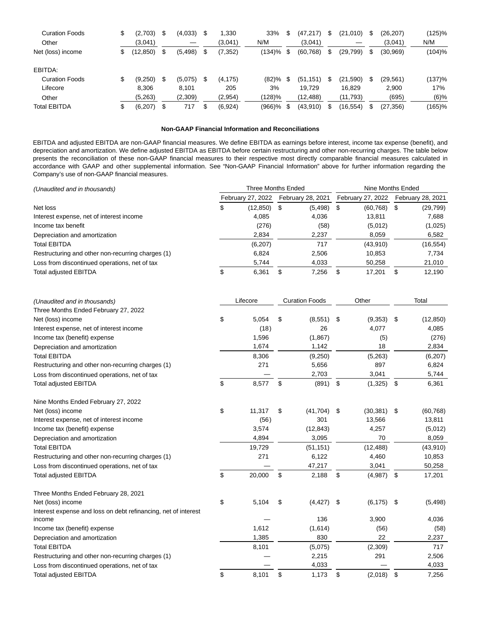| <b>Curation Foods</b><br>Other | \$ | (2,703)<br>(3,041) | S   | (4,033)  |    | 1,330<br>(3,041) | 33%<br>N/M | (47, 217)<br>(3,041) | S   | (21,010)  | S | (26, 207)<br>(3,041) | (125)%<br>N/M |
|--------------------------------|----|--------------------|-----|----------|----|------------------|------------|----------------------|-----|-----------|---|----------------------|---------------|
| Net (loss) income              | S. | (12, 850)          | S   | (5, 498) | \$ | (7, 352)         | (134)%     | \$<br>(60, 768)      | S   | (29, 799) | S | (30, 969)            | (104)%        |
| EBITDA:                        |    |                    |     |          |    |                  |            |                      |     |           |   |                      |               |
| <b>Curation Foods</b>          | \$ | (9,250)            | \$. | (5,075)  | S  | (4, 175)         | (82)%      | (51, 151)            | \$. | (21, 590) | S | (29, 561)            | (137)%        |
| Lifecore                       |    | 8.306              |     | 8.101    |    | 205              | 3%         | 19.729               |     | 16.829    |   | 2,900                | 17%           |
| Other                          |    | (5,263)            |     | (2,309)  |    | (2,954)          | $(128)\%$  | (12,488)             |     | (11,793)  |   | (695)                | $(6)$ %       |
| <b>Total EBITDA</b>            | \$ | (6, 207)           |     | 717      |    | (6,924)          | $(966)$ %  | (43,910)             | S   | (16, 554) |   | (27, 356)            | $(165)$ %     |

## **Non-GAAP Financial Information and Reconciliations**

EBITDA and adjusted EBITDA are non-GAAP financial measures. We define EBITDA as earnings before interest, income tax expense (benefit), and depreciation and amortization. We define adjusted EBITDA as EBITDA before certain restructuring and other non-recurring charges. The table below presents the reconciliation of these non-GAAP financial measures to their respective most directly comparable financial measures calculated in accordance with GAAP and other supplemental information. See "Non-GAAP Financial Information" above for further information regarding the Company's use of non-GAAP financial measures.

| (Unaudited and in thousands)                      |   | Three Months Ended |      | Nine Months Ended |    |                   |                   |           |  |
|---------------------------------------------------|---|--------------------|------|-------------------|----|-------------------|-------------------|-----------|--|
|                                                   |   | February 27, 2022  |      | February 28, 2021 |    | February 27, 2022 | February 28, 2021 |           |  |
| Net loss                                          | Φ | (12, 850)          | - \$ | (5, 498)          | \$ | (60, 768)         | S                 | (29, 799) |  |
| Interest expense, net of interest income          |   | 4.085              |      | 4.036             |    | 13.811            |                   | 7,688     |  |
| Income tax benefit                                |   | (276)              |      | (58)              |    | (5,012)           |                   | (1,025)   |  |
| Depreciation and amortization                     |   | 2,834              |      | 2,237             |    | 8,059             |                   | 6,582     |  |
| <b>Total EBITDA</b>                               |   | (6, 207)           |      | 717               |    | (43,910)          |                   | (16,554)  |  |
| Restructuring and other non-recurring charges (1) |   | 6.824              |      | 2.506             |    | 10.853            |                   | 7.734     |  |
| Loss from discontinued operations, net of tax     |   | 5,744              |      | 4,033             |    | 50,258            |                   | 21,010    |  |
| <b>Total adjusted EBITDA</b>                      | J | 6.361              | \$.  | 7,256             | S. | 17,201            | S                 | 12.190    |  |

| (Unaudited and in thousands)                                   |    | Lifecore |    | <b>Curation Foods</b> | Other           | Total |           |  |
|----------------------------------------------------------------|----|----------|----|-----------------------|-----------------|-------|-----------|--|
| Three Months Ended February 27, 2022                           |    |          |    |                       |                 |       |           |  |
| Net (loss) income                                              | \$ | 5,054    | \$ | (8,551)               | \$<br>(9,353)   | \$    | (12, 850) |  |
| Interest expense, net of interest income                       |    | (18)     |    | 26                    | 4,077           |       | 4,085     |  |
| Income tax (benefit) expense                                   |    | 1,596    |    | (1,867)               | (5)             |       | (276)     |  |
| Depreciation and amortization                                  |    | 1,674    |    | 1,142                 | 18              |       | 2,834     |  |
| <b>Total EBITDA</b>                                            |    | 8,306    |    | (9,250)               | (5,263)         |       | (6,207)   |  |
| Restructuring and other non-recurring charges (1)              |    | 271      |    | 5,656                 | 897             |       | 6,824     |  |
| Loss from discontinued operations, net of tax                  |    |          |    | 2,703                 | 3,041           |       | 5,744     |  |
| <b>Total adjusted EBITDA</b>                                   | \$ | 8,577    | \$ | (891)                 | \$<br>(1, 325)  | \$    | 6,361     |  |
| Nine Months Ended February 27, 2022                            |    |          |    |                       |                 |       |           |  |
| Net (loss) income                                              | \$ | 11,317   | \$ | (41, 704)             | \$<br>(30, 381) | \$    | (60, 768) |  |
| Interest expense, net of interest income                       |    | (56)     |    | 301                   | 13,566          |       | 13,811    |  |
| Income tax (benefit) expense                                   |    | 3,574    |    | (12, 843)             | 4,257           |       | (5,012)   |  |
| Depreciation and amortization                                  |    | 4,894    |    | 3,095                 | 70              |       | 8,059     |  |
| <b>Total EBITDA</b>                                            |    | 19,729   |    | (51, 151)             | (12, 488)       |       | (43, 910) |  |
| Restructuring and other non-recurring charges (1)              |    | 271      |    | 6,122                 | 4,460           |       | 10,853    |  |
| Loss from discontinued operations, net of tax                  |    |          |    | 47,217                | 3,041           |       | 50,258    |  |
| <b>Total adjusted EBITDA</b>                                   | \$ | 20,000   | \$ | 2,188                 | \$<br>(4,987)   | \$    | 17,201    |  |
| Three Months Ended February 28, 2021                           |    |          |    |                       |                 |       |           |  |
| Net (loss) income                                              | \$ | 5,104    | \$ | (4, 427)              | \$<br>(6, 175)  | \$    | (5, 498)  |  |
| Interest expense and loss on debt refinancing, net of interest |    |          |    |                       |                 |       |           |  |
| income                                                         |    |          |    | 136                   | 3,900           |       | 4,036     |  |
| Income tax (benefit) expense                                   |    | 1,612    |    | (1,614)               | (56)            |       | (58)      |  |
| Depreciation and amortization                                  |    | 1,385    |    | 830                   | 22              |       | 2,237     |  |
| <b>Total EBITDA</b>                                            |    | 8,101    |    | (5,075)               | (2,309)         |       | 717       |  |
| Restructuring and other non-recurring charges (1)              |    |          |    | 2,215                 | 291             |       | 2,506     |  |
| Loss from discontinued operations, net of tax                  |    |          |    | 4,033                 |                 |       | 4,033     |  |
| <b>Total adjusted EBITDA</b>                                   | \$ | 8,101    | \$ | 1,173                 | \$<br>(2,018)   | \$    | 7,256     |  |